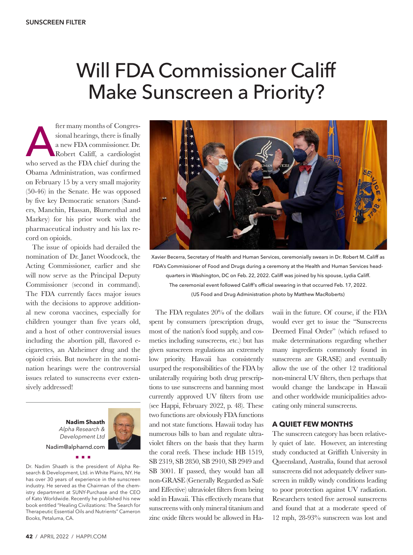## Will FDA Commissioner Califf Make Sunscreen a Priority?

fter many months of Congressional hearings, there is finally a new FDA commissioner. Dr.<br>Robert Califf, a cardiologist who served as the FDA chief during the sional hearings, there is finally a new FDA commissioner. Dr. Robert Califf, a cardiologist Obama Administration, was confirmed on February 15 by a very small majority (50-46) in the Senate. He was opposed by five key Democratic senators (Sanders, Manchin, Hassan, Blumenthal and Markey) for his prior work with the pharmaceutical industry and his lax record on opioids.

The issue of opioids had derailed the nomination of Dr. Janet Woodcock, the Acting Commissioner, earlier and she will now serve as the Principal Deputy Commissioner (second in command). The FDA currently faces major issues with the decisions to approve additional new corona vaccines, especially for children younger than five years old, and a host of other controversial issues including the abortion pill, flavored ecigarettes, an Alzheimer drug and the opioid crisis. But nowhere in the nomination hearings were the controversial issues related to sunscreens ever extensively addressed!

> **Nadim Shaath** *Alpha Research & Development Ltd* Nadim@alpharnd.com



Dr. Nadim Shaath is the president of Alpha Research & Development, Ltd. in White Plains, NY. He has over 30 years of experience in the sunscreen industry. He served as the Chairman of the chemistry department at SUNY-Purchase and the CEO of Kato Worldwide. Recently he published his new book entitled "Healing Civilizations: The Search for Therapeutic Essential Oils and Nutrients" Cameron Books, Petaluma, CA.

nnn



Xavier Becerra, Secretary of Health and Human Services, ceremonially swears in Dr. Robert M. Califf as FDA's Commissioner of Food and Drugs during a ceremony at the Health and Human Services headquarters in Washington, DC on Feb. 22, 2022. Califf was joined by his spouse, Lydia Califf. The ceremonial event followed Califf's official swearing in that occurred Feb. 17, 2022. (US Food and Drug Administration photo by Matthew MacRoberts)

The FDA regulates 20% of the dollars spent by consumers (prescription drugs, most of the nation's food supply, and cosmetics including sunscreens, etc.) but has given sunscreen regulations an extremely low priority. Hawaii has consistently usurped the responsibilities of the FDA by unilaterally requiring both drug prescriptions to use sunscreens and banning most currently approved UV filters from use (see Happi, February 2022, p. 48). These two functions are obviously FDA functions and not state functions. Hawaii today has numerous bills to ban and regulate ultraviolet filters on the basis that they harm the coral reefs. These include HB 1519, SB 2319, SB 2850, SB 2910, SB 2949 and SB 3001. If passed, they would ban all non-GRASE (Generally Regarded as Safe and Effective) ultraviolet filters from being sold in Hawaii. This effectively means that sunscreens with only mineral titanium and zinc oxide filters would be allowed in Hawaii in the future. Of course, if the FDA would ever get to issue the "Sunscreens Deemed Final Order" (which refused to make determinations regarding whether many ingredients commonly found in sunscreens are GRASE) and eventually allow the use of the other 12 traditional non-mineral UV filters, then perhaps that would change the landscape in Hawaii and other worldwide municipalities advocating only mineral sunscreens.

## **A QUIET FEW MONTHS**

The sunscreen category has been relatively quiet of late. However, an interesting study conducted at Griffith University in Queensland, Australia, found that aerosol sunscreens did not adequately deliver sunscreen in mildly windy conditions leading to poor protection against UV radiation. Researchers tested five aerosol sunscreens and found that at a moderate speed of 12 mph, 28-93% sunscreen was lost and